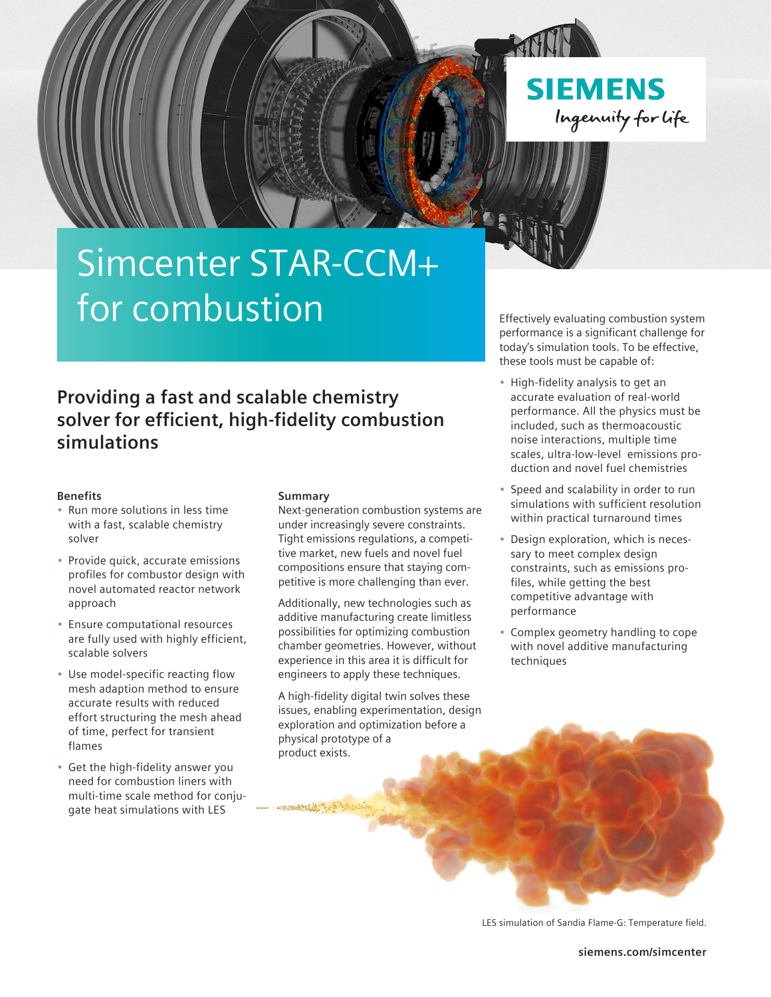

**SIEMENS** Ingenuity for life

# Simcenter STAR-CCM+ for combustion

Effectively evaluating combustion system performance is a significant challenge for today's simulation tools. To be effective, these tools must be capable of:

**Providing a fast and scalable chemistry solver for efficient, high-fidelity combustion simulations**

# **Benefits**

- Run more solutions in less time with a fast, scalable chemistry solver
- Provide quick, accurate emissions profiles for combustor design with novel automated reactor network approach
- Ensure computational resources are fully used with highly efficient, scalable solvers
- Use model-specific reacting flow mesh adaption method to ensure accurate results with reduced effort structuring the mesh ahead of time, perfect for transient flames
- Get the high-fidelity answer you need for combustion liners with multi-time scale method for conjugate heat simulations with LES

## **Summary**

**SUBSCRIPTS** 

Next-generation combustion systems are under increasingly severe constraints. Tight emissions regulations, a competitive market, new fuels and novel fuel compositions ensure that staying competitive is more challenging than ever.

Additionally, new technologies such as additive manufacturing create limitless possibilities for optimizing combustion chamber geometries. However, without experience in this area it is difficult for engineers to apply these techniques.

A high-fidelity digital twin solves these issues, enabling experimentation, design exploration and optimization before a physical prototype of a product exists.

- High-fidelity analysis to get an accurate evaluation of real-world performance. All the physics must be included, such as thermoacoustic noise interactions, multiple time scales, ultra-low-level emissions production and novel fuel chemistries
- Speed and scalability in order to run simulations with sufficient resolution within practical turnaround times
- Design exploration, which is necessary to meet complex design constraints, such as emissions profiles, while getting the best competitive advantage with performance
- Complex geometry handling to cope with novel additive manufacturing techniques

LES simulation of Sandia Flame-G: Temperature field.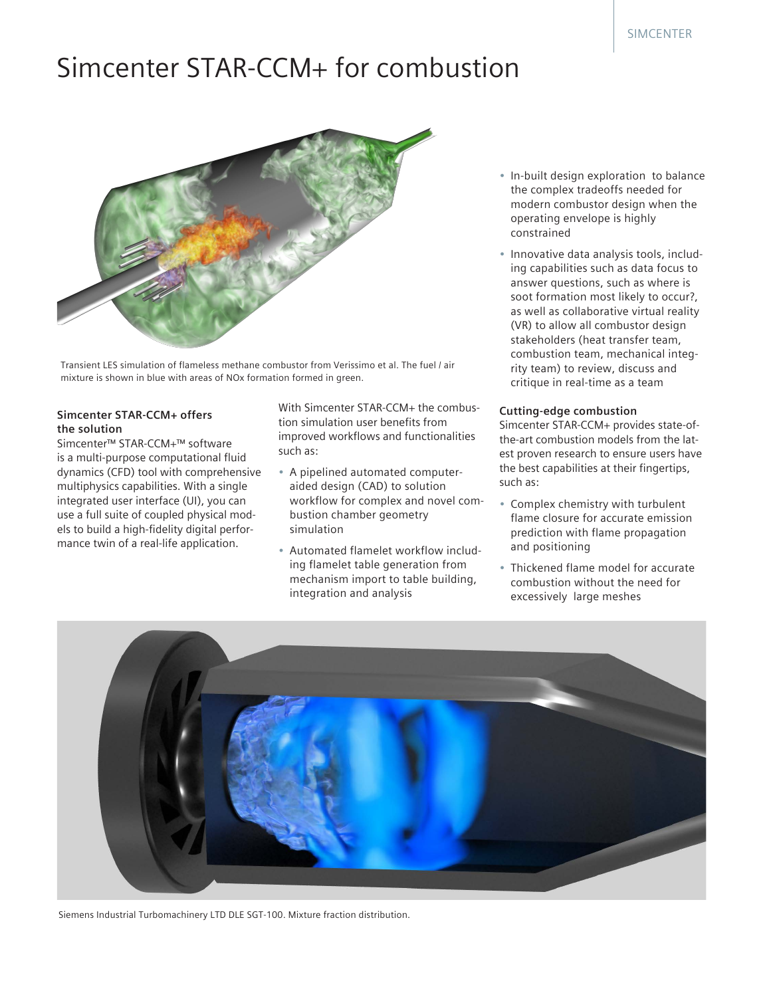# Simcenter STAR-CCM+ for combustion



Transient LES simulation of flameless methane combustor from Verissimo et al. The fuel / air mixture is shown in blue with areas of NOx formation formed in green.

# **Simcenter STAR-CCM+ offers the solution**

Simcenter™ STAR-CCM+™ software is a multi-purpose computational fluid dynamics (CFD) tool with comprehensive multiphysics capabilities. With a single integrated user interface (UI), you can use a full suite of coupled physical models to build a high-fidelity digital performance twin of a real-life application.

With Simcenter STAR-CCM+ the combustion simulation user benefits from improved workflows and functionalities such as:

- A pipelined automated computeraided design (CAD) to solution workflow for complex and novel combustion chamber geometry simulation
- Automated flamelet workflow including flamelet table generation from mechanism import to table building, integration and analysis
- In-built design exploration to balance the complex tradeoffs needed for modern combustor design when the operating envelope is highly constrained
- Innovative data analysis tools, including capabilities such as data focus to answer questions, such as where is soot formation most likely to occur?, as well as collaborative virtual reality (VR) to allow all combustor design stakeholders (heat transfer team, combustion team, mechanical integrity team) to review, discuss and critique in real-time as a team

# **Cutting-edge combustion**

Simcenter STAR-CCM+ provides state-ofthe-art combustion models from the latest proven research to ensure users have the best capabilities at their fingertips, such as:

- Complex chemistry with turbulent flame closure for accurate emission prediction with flame propagation and positioning
- Thickened flame model for accurate combustion without the need for excessively large meshes



Siemens Industrial Turbomachinery LTD DLE SGT-100. Mixture fraction distribution.